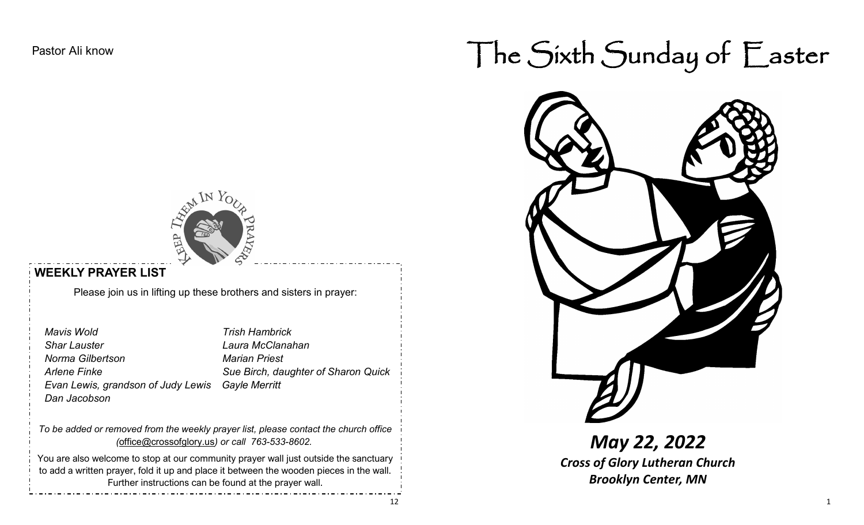Pastor Ali know

# The Sixth Sunday of Easter



# **WEEKLY PRAYER LIST**

Please join us in lifting up these brothers and sisters in prayer:

*Mavis Wold Shar Lauster Norma Gilbertson Arlene Finke Evan Lewis, grandson of Judy Lewis Gayle Merritt Dan Jacobson* 

*Trish Hambrick Laura McClanahan Marian Priest Sue Birch, daughter of Sharon Quick*

*To be added or removed from the weekly prayer list, please contact the church office (*[office@crossofglory.us](mailto:office@crossofglory.us)*) or call 763-533-8602.*

You are also welcome to stop at our community prayer wall just outside the sanctuary to add a written prayer, fold it up and place it between the wooden pieces in the wall. Further instructions can be found at the prayer wall.



*May 22, 2022 Cross of Glory Lutheran Church Brooklyn Center, MN*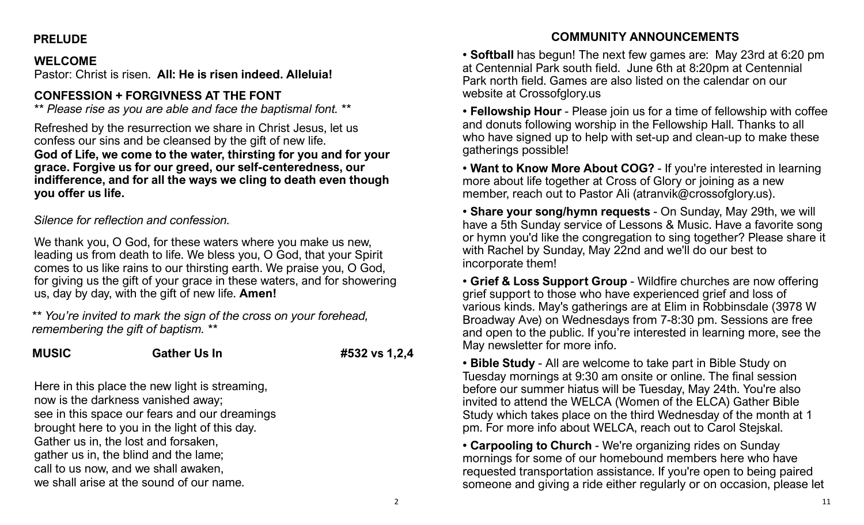# **PRELUDE**

# **WELCOME**

Pastor: Christ is risen. **All: He is risen indeed. Alleluia!**

# **CONFESSION + FORGIVNESS AT THE FONT**

*\*\* Please rise as you are able and face the baptismal font. \*\**

Refreshed by the resurrection we share in Christ Jesus, let us confess our sins and be cleansed by the gift of new life. **God of Life, we come to the water, thirsting for you and for your grace. Forgive us for our greed, our self-centeredness, our indifference, and for all the ways we cling to death even though you offer us life.**

*Silence for reflection and confession..*

We thank you, O God, for these waters where you make us new, leading us from death to life. We bless you, O God, that your Spirit comes to us like rains to our thirsting earth. We praise you, O God, for giving us the gift of your grace in these waters, and for showering us, day by day, with the gift of new life. **Amen!**

*\*\* You're invited to mark the sign of the cross on your forehead, remembering the gift of baptism. \*\**

**MUSIC 6ather Us In 4532 vs 1.2.4** 

Here in this place the new light is streaming, now is the darkness vanished away; see in this space our fears and our dreamings brought here to you in the light of this day. Gather us in, the lost and forsaken, gather us in, the blind and the lame; call to us now, and we shall awaken, we shall arise at the sound of our name.

# **COMMUNITY ANNOUNCEMENTS**

• **Softball** has begun! The next few games are: May 23rd at 6:20 pm at Centennial Park south field. June 6th at 8:20pm at Centennial Park north field. Games are also listed on the calendar on our website at Crossofglory.us

• **Fellowship Hour** - Please join us for a time of fellowship with coffee and donuts following worship in the Fellowship Hall. Thanks to all who have signed up to help with set-up and clean-up to make these gatherings possible!

• **Want to Know More About COG?** - If you're interested in learning more about life together at Cross of Glory or joining as a new member, reach out to Pastor Ali (atranvik@crossofglory.us).

• **Share your song/hymn requests** - On Sunday, May 29th, we will have a 5th Sunday service of Lessons & Music. Have a favorite song or hymn you'd like the congregation to sing together? Please share it with Rachel by Sunday, May 22nd and we'll do our best to incorporate them!

• **Grief & Loss Support Group** - Wildfire churches are now offering grief support to those who have experienced grief and loss of various kinds. May's gatherings are at Elim in Robbinsdale (3978 W Broadway Ave) on Wednesdays from 7-8:30 pm. Sessions are free and open to the public. If you're interested in learning more, see the May newsletter for more info.

• **Bible Study** - All are welcome to take part in Bible Study on Tuesday mornings at 9:30 am onsite or online. The final session before our summer hiatus will be Tuesday, May 24th. You're also invited to attend the WELCA (Women of the ELCA) Gather Bible Study which takes place on the third Wednesday of the month at 1 pm. For more info about WELCA, reach out to Carol Stejskal.

• **Carpooling to Church** - We're organizing rides on Sunday mornings for some of our homebound members here who have requested transportation assistance. If you're open to being paired someone and giving a ride either regularly or on occasion, please let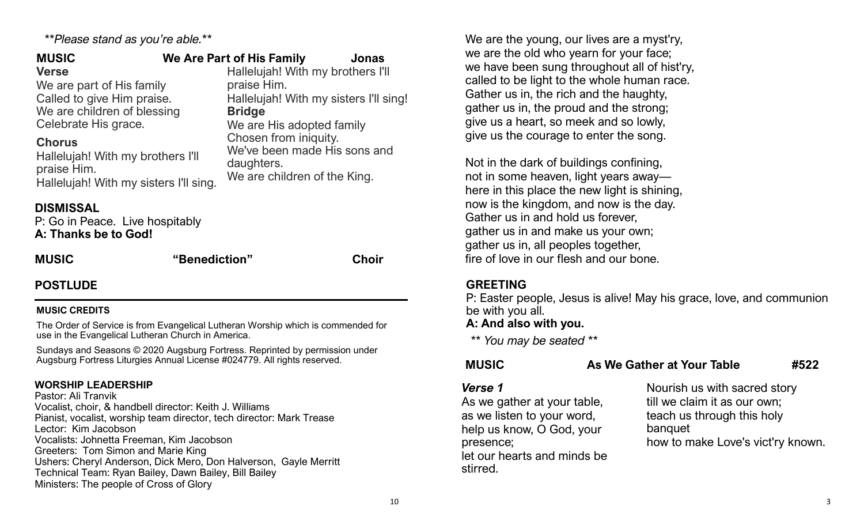*\*\*Please stand as you're able.\*\**

| <b>MUSIC</b>                                                                                                                   | We Are Part of His Family                                                                                                                | Jonas |
|--------------------------------------------------------------------------------------------------------------------------------|------------------------------------------------------------------------------------------------------------------------------------------|-------|
| <b>Verse</b><br>We are part of His family<br>Called to give Him praise.<br>We are children of blessing<br>Celebrate His grace. | Hallelujah! With my brothers I'll<br>praise Him.<br>Hallelujah! With my sisters I'll sing!<br><b>Bridge</b><br>We are His adopted family |       |
| <b>Chorus</b><br>Hallelujah! With my brothers I'll<br>praise Him.<br>Hallelujah! With my sisters I'll sing.                    | Chosen from iniquity.<br>We've been made His sons and<br>daughters.<br>We are children of the King.                                      |       |

#### **DISMISSAL**

P: Go in Peace. Live hospitably **A: Thanks be to God!**

| <b>MUSIC</b> | "Benediction" | <b>Choir</b> |
|--------------|---------------|--------------|
|              |               |              |

# **POSTLUDE**

#### **MUSIC CREDITS**

The Order of Service is from Evangelical Lutheran Worship which is commended for use in the Evangelical Lutheran Church in America.

Sundays and Seasons © 2020 Augsburg Fortress. Reprinted by permission under Augsburg Fortress Liturgies Annual License #024779. All rights reserved.

#### **WORSHIP LEADERSHIP**

Pastor: Ali Tranvik Vocalist, choir, & handbell director: Keith J. Williams Pianist, vocalist, worship team director, tech director: Mark Trease Lector: Kim Jacobson Vocalists: Johnetta Freeman, Kim Jacobson Greeters: Tom Simon and Marie King Ushers: Cheryl Anderson, Dick Mero, Don Halverson, Gayle Merritt Technical Team: Ryan Bailey, Dawn Bailey, Bill Bailey Ministers: The people of Cross of Glory

We are the young, our lives are a myst'ry, we are the old who yearn for your face; we have been sung throughout all of hist'ry, called to be light to the whole human race. Gather us in, the rich and the haughty, gather us in, the proud and the strong; give us a heart, so meek and so lowly, give us the courage to enter the song.

Not in the dark of buildings confining, not in some heaven, light years away here in this place the new light is shining, now is the kingdom, and now is the day. Gather us in and hold us forever, gather us in and make us your own; gather us in, all peoples together, fire of love in our flesh and our bone.

### **GREETING**

P: Easter people, Jesus is alive! May his grace, love, and communion be with you all.

#### **A: And also with you.**

*\*\* You may be seated \*\**

#### **MUSIC As We Gather at Your Table #522**

#### *Verse 1*

As we gather at your table, as we listen to your word, help us know, O God, your presence; let our hearts and minds be stirred.

Nourish us with sacred story till we claim it as our own; teach us through this holy banquet how to make Love's vict'ry known.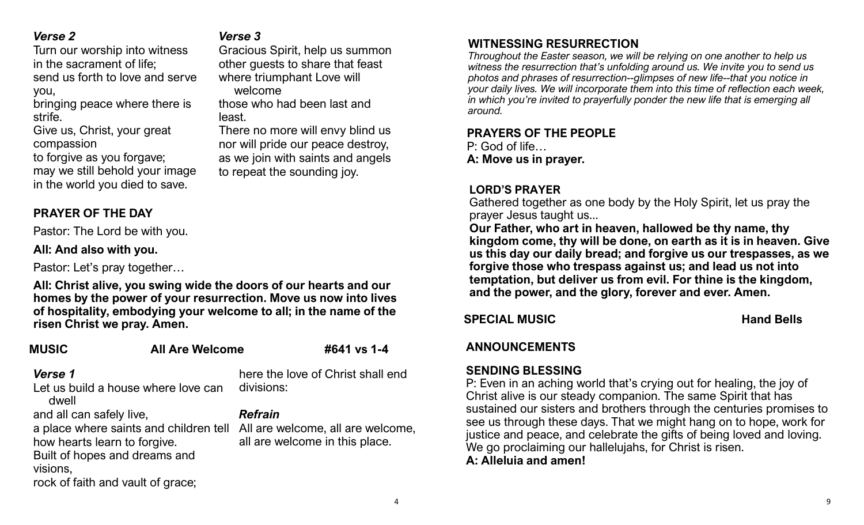Turn our worship into witness in the sacrament of life; send us forth to love and serve you,

bringing peace where there is strife.

Give us, Christ, your great compassion

to forgive as you forgave;

may we still behold your image in the world you died to save.

# **PRAYER OF THE DAY**

Pastor: The Lord be with you.

#### **All: And also with you.**

Pastor: Let's pray together…

**All: Christ alive, you swing wide the doors of our hearts and our homes by the power of your resurrection. Move us now into lives of hospitality, embodying your welcome to all; in the name of the risen Christ we pray. Amen.**

**MUSIC All Are Welcome** #641 vs 1-4

*Refrain*

here the love of Christ shall end

all are welcome in this place.

#### *Verse 1*

Let us build a house where love can dwell divisions:

and all can safely live,

a place where saints and children tell All are welcome, all are welcome,

how hearts learn to forgive.

Built of hopes and dreams and

visions,

rock of faith and vault of grace;

#### *Verse 3*

Gracious Spirit, help us summon other guests to share that feast where triumphant Love will welcome

those who had been last and least.

There no more will envy blind us nor will pride our peace destroy, as we join with saints and angels to repeat the sounding joy.

### **WITNESSING RESURRECTION**

*Throughout the Easter season, we will be relying on one another to help us witness the resurrection that's unfolding around us. We invite you to send us photos and phrases of resurrection--glimpses of new life--that you notice in your daily lives. We will incorporate them into this time of reflection each week, in which you're invited to prayerfully ponder the new life that is emerging all around.*

# **PRAYERS OF THE PEOPLE**

P: God of life… **A: Move us in prayer.**

# **LORD'S PRAYER**

Gathered together as one body by the Holy Spirit, let us pray the prayer Jesus taught us...

**Our Father, who art in heaven, hallowed be thy name, thy kingdom come, thy will be done, on earth as it is in heaven. Give us this day our daily bread; and forgive us our trespasses, as we forgive those who trespass against us; and lead us not into temptation, but deliver us from evil. For thine is the kingdom, and the power, and the glory, forever and ever. Amen.** 

**SPECIAL MUSIC** Hand Bells

## **ANNOUNCEMENTS**

## **SENDING BLESSING**

P: Even in an aching world that's crying out for healing, the joy of Christ alive is our steady companion. The same Spirit that has sustained our sisters and brothers through the centuries promises to see us through these days. That we might hang on to hope, work for justice and peace, and celebrate the gifts of being loved and loving. We go proclaiming our hallelujahs, for Christ is risen.

**A: Alleluia and amen!**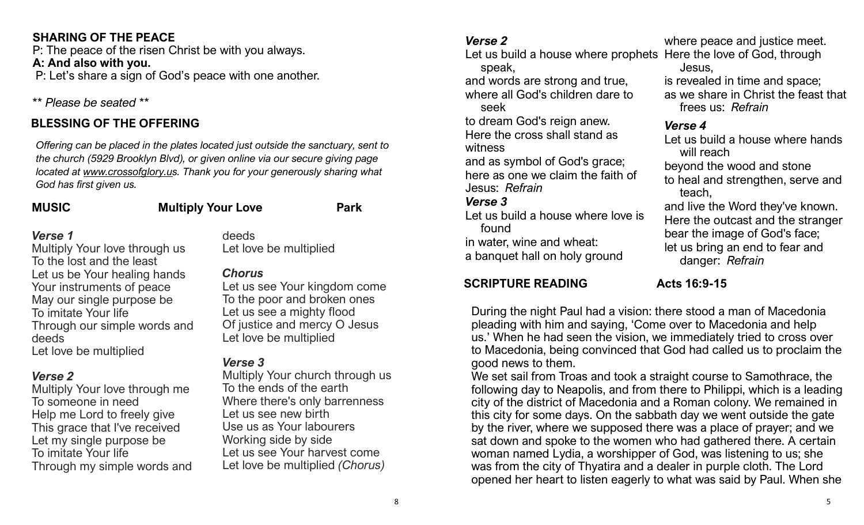## **SHARING OF THE PEACE**

P: The peace of the risen Christ be with you always. **A: And also with you.** P: Let's share a sign of God's peace with one another.

*\*\* Please be seated \*\**

### **BLESSING OF THE OFFERING**

Help me Lord to freely give This grace that I've received Let my single purpose be

Through my simple words and

To imitate Your life

*Offering can be placed in the plates located just outside the sanctuary, sent to the church (5929 Brooklyn Blvd), or given online via our secure giving page located at [www.crossofglory.us](http://www.crossofglory.us). Thank you for your generously sharing what God has first given us.*

| <b>MUSIC</b>                                               | <b>Multiply Your Love</b> |                                 | <b>Park</b> |
|------------------------------------------------------------|---------------------------|---------------------------------|-------------|
| <b>Verse 1</b>                                             |                           | deeds                           |             |
| Multiply Your love through us<br>To the lost and the least |                           | Let love be multiplied          |             |
| Let us be Your healing hands                               |                           | <b>Chorus</b>                   |             |
| Your instruments of peace                                  |                           | Let us see Your kingdom come    |             |
| May our single purpose be                                  |                           | To the poor and broken ones     |             |
| To imitate Your life                                       |                           | Let us see a mighty flood       |             |
| Through our simple words and                               |                           | Of justice and mercy O Jesus    |             |
| deeds                                                      |                           | Let love be multiplied          |             |
| Let love be multiplied                                     |                           |                                 |             |
|                                                            |                           | <b>Verse 3</b>                  |             |
| <b>Verse 2</b>                                             |                           | Multiply Your church through us |             |
| Multiply Your love through me                              |                           | To the ends of the earth        |             |
| To someone in need                                         |                           | Where there's only barrenness   |             |

Let us see new birth

Use us as Your labourers Working side by side

Let us see Your harvest come Let love be multiplied *(Chorus)*

#### *Verse 2*

Let us build a house where prophets Here the love of God, through speak,

and words are strong and true, where all God's children dare to seek

to dream God's reign anew. Here the cross shall stand as witness

and as symbol of God's grace; here as one we claim the faith of Jesus: *Refrain*

#### *Verse 3*

Let us build a house where love is found

in water, wine and wheat: a banquet hall on holy ground

## **SCRIPTURE READING Acts 16:9-15**

where peace and justice meet. Jesus, is revealed in time and space;

as we share in Christ the feast that frees us: *Refrain*

#### *Verse 4*

Let us build a house where hands will reach

beyond the wood and stone to heal and strengthen, serve and teach,

and live the Word they've known. Here the outcast and the stranger bear the image of God's face; let us bring an end to fear and danger: *Refrain*

During the night Paul had a vision: there stood a man of Macedonia pleading with him and saying, 'Come over to Macedonia and help us.' When he had seen the vision, we immediately tried to cross over to Macedonia, being convinced that God had called us to proclaim the good news to them.

We set sail from Troas and took a straight course to Samothrace, the following day to Neapolis, and from there to Philippi, which is a leading city of the district of Macedonia and a Roman colony. We remained in this city for some days. On the sabbath day we went outside the gate by the river, where we supposed there was a place of prayer; and we sat down and spoke to the women who had gathered there. A certain woman named Lydia, a worshipper of God, was listening to us; she was from the city of Thyatira and a dealer in purple cloth. The Lord opened her heart to listen eagerly to what was said by Paul. When she